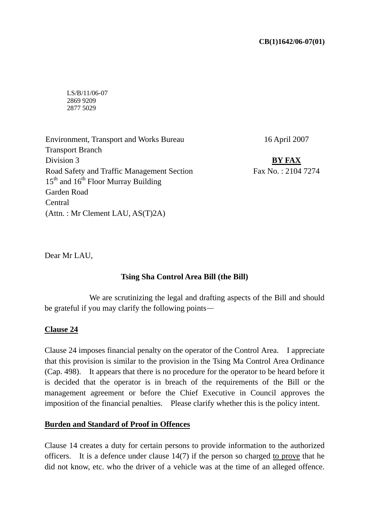### **CB(1)1642/06-07(01)**

LS/B/11/06-07 2869 9209 2877 5029

Environment, Transport and Works Bureau Transport Branch Division 3 Road Safety and Traffic Management Section  $15<sup>th</sup>$  and  $16<sup>th</sup>$  Floor Murray Building Garden Road Central (Attn. : Mr Clement LAU, AS(T)2A)

16 April 2007

**BY FAX** Fax No. : 2104 7274

Dear Mr LAU,

## **Tsing Sha Control Area Bill (the Bill)**

 We are scrutinizing the legal and drafting aspects of the Bill and should be grateful if you may clarify the following points—

## **Clause 24**

Clause 24 imposes financial penalty on the operator of the Control Area. I appreciate that this provision is similar to the provision in the Tsing Ma Control Area Ordinance (Cap. 498). It appears that there is no procedure for the operator to be heard before it is decided that the operator is in breach of the requirements of the Bill or the management agreement or before the Chief Executive in Council approves the imposition of the financial penalties. Please clarify whether this is the policy intent.

### **Burden and Standard of Proof in Offences**

Clause 14 creates a duty for certain persons to provide information to the authorized officers. It is a defence under clause 14(7) if the person so charged to prove that he did not know, etc. who the driver of a vehicle was at the time of an alleged offence.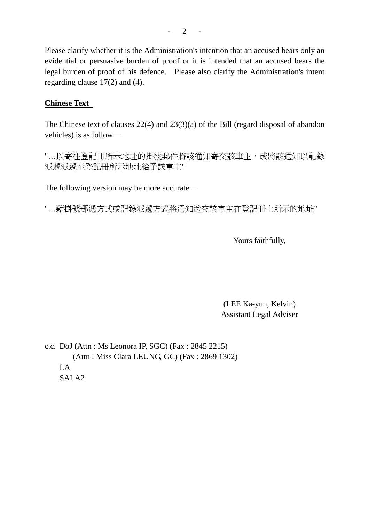Please clarify whether it is the Administration's intention that an accused bears only an evidential or persuasive burden of proof or it is intended that an accused bears the legal burden of proof of his defence. Please also clarify the Administration's intent regarding clause 17(2) and (4).

# **Chinese Text**

The Chinese text of clauses 22(4) and 23(3)(a) of the Bill (regard disposal of abandon vehicles) is as follow—

"…以寄往登記冊所示地址的掛號郵件將該通知寄交該車主,或將該通知以記錄 派遞派遞至登記冊所示地址給予該車主"

The following version may be more accurate—

"…藉掛號郵遞方式或記錄派遞方式將通知送交該車主在登記冊上所示的地址"

Yours faithfully,

(LEE Ka-yun, Kelvin) Assistant Legal Adviser

c.c. DoJ (Attn : Ms Leonora IP, SGC) (Fax : 2845 2215) (Attn : Miss Clara LEUNG, GC) (Fax : 2869 1302) LA SALA2